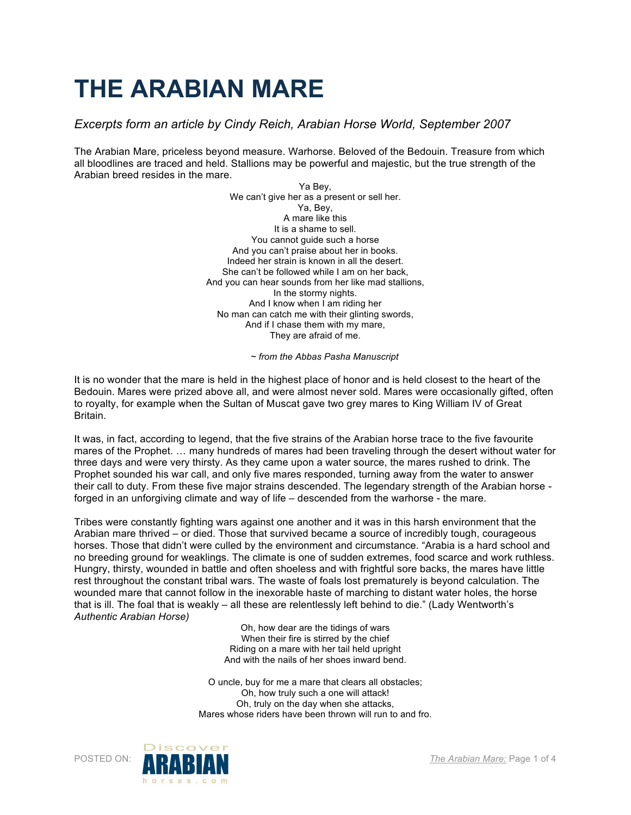## **THE ARABIAN MARE**

## *Excerpts form an article by Cindy Reich, Arabian Horse World, September 2007*

The Arabian Mare, priceless beyond measure. Warhorse. Beloved of the Bedouin. Treasure from which all bloodlines are traced and held. Stallions may be powerful and majestic, but the true strength of the Arabian breed resides in the mare.

> Ya Bey, We can't give her as a present or sell her. Ya, Bey, A mare like this It is a shame to sell. You cannot guide such a horse And you can't praise about her in books. Indeed her strain is known in all the desert. She can't be followed while I am on her back, And you can hear sounds from her like mad stallions, In the stormy nights. And I know when I am riding her No man can catch me with their glinting swords, And if I chase them with my mare, They are afraid of me.

> > *~ from the Abbas Pasha Manuscript*

It is no wonder that the mare is held in the highest place of honor and is held closest to the heart of the Bedouin. Mares were prized above all, and were almost never sold. Mares were occasionally gifted, often to royalty, for example when the Sultan of Muscat gave two grey mares to King William IV of Great Britain.

It was, in fact, according to legend, that the five strains of the Arabian horse trace to the five favourite mares of the Prophet. … many hundreds of mares had been traveling through the desert without water for three days and were very thirsty. As they came upon a water source, the mares rushed to drink. The Prophet sounded his war call, and only five mares responded, turning away from the water to answer their call to duty. From these five major strains descended. The legendary strength of the Arabian horse forged in an unforgiving climate and way of life – descended from the warhorse - the mare.

Tribes were constantly fighting wars against one another and it was in this harsh environment that the Arabian mare thrived – or died. Those that survived became a source of incredibly tough, courageous horses. Those that didn't were culled by the environment and circumstance. "Arabia is a hard school and no breeding ground for weaklings. The climate is one of sudden extremes, food scarce and work ruthless. Hungry, thirsty, wounded in battle and often shoeless and with frightful sore backs, the mares have little rest throughout the constant tribal wars. The waste of foals lost prematurely is beyond calculation. The wounded mare that cannot follow in the inexorable haste of marching to distant water holes, the horse that is ill. The foal that is weakly – all these are relentlessly left behind to die." (Lady Wentworth's *Authentic Arabian Horse)*

> Oh, how dear are the tidings of wars When their fire is stirred by the chief Riding on a mare with her tail held upright And with the nails of her shoes inward bend.

O uncle, buy for me a mare that clears all obstacles; Oh, how truly such a one will attack! Oh, truly on the day when she attacks, Mares whose riders have been thrown will run to and fro.

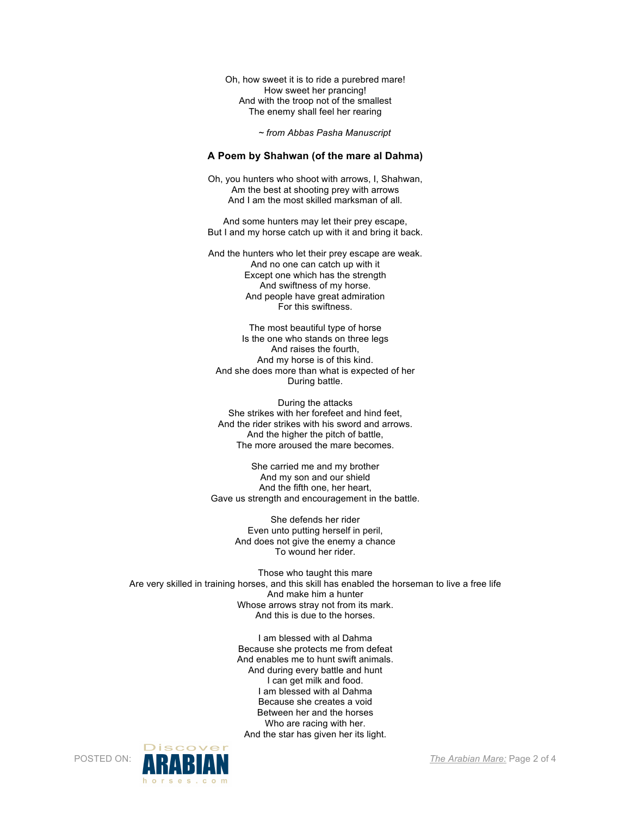Oh, how sweet it is to ride a purebred mare! How sweet her prancing! And with the troop not of the smallest The enemy shall feel her rearing

*~ from Abbas Pasha Manuscript*

## **A Poem by Shahwan (of the mare al Dahma)**

Oh, you hunters who shoot with arrows, I, Shahwan, Am the best at shooting prey with arrows And I am the most skilled marksman of all.

And some hunters may let their prey escape, But I and my horse catch up with it and bring it back.

And the hunters who let their prey escape are weak. And no one can catch up with it Except one which has the strength And swiftness of my horse. And people have great admiration For this swiftness.

The most beautiful type of horse Is the one who stands on three legs And raises the fourth, And my horse is of this kind. And she does more than what is expected of her During battle.

During the attacks She strikes with her forefeet and hind feet, And the rider strikes with his sword and arrows. And the higher the pitch of battle, The more aroused the mare becomes.

She carried me and my brother And my son and our shield And the fifth one, her heart, Gave us strength and encouragement in the battle.

> She defends her rider Even unto putting herself in peril, And does not give the enemy a chance To wound her rider.

Those who taught this mare Are very skilled in training horses, and this skill has enabled the horseman to live a free life And make him a hunter Whose arrows stray not from its mark. And this is due to the horses.

> I am blessed with al Dahma Because she protects me from defeat And enables me to hunt swift animals. And during every battle and hunt I can get milk and food. I am blessed with al Dahma Because she creates a void Between her and the horses Who are racing with her. And the star has given her its light.

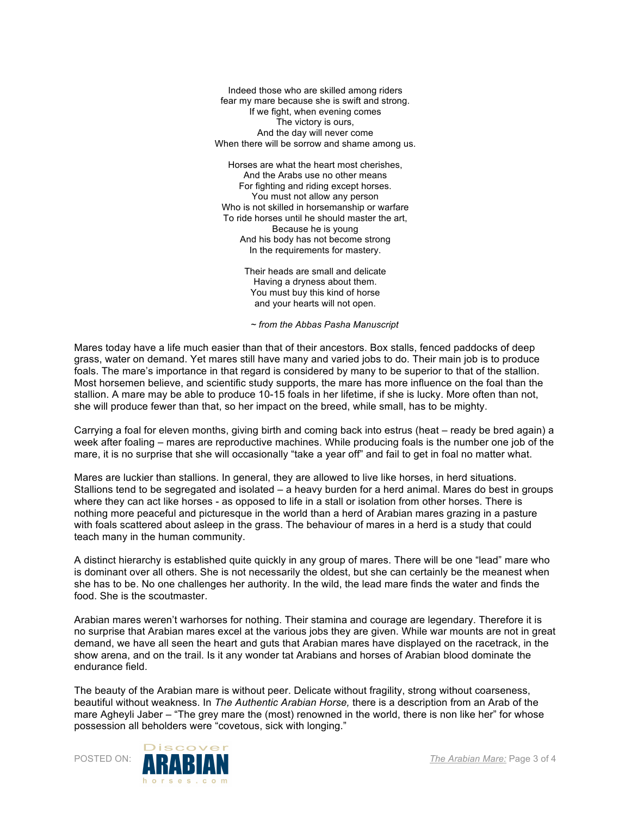Indeed those who are skilled among riders fear my mare because she is swift and strong. If we fight, when evening comes The victory is ours, And the day will never come When there will be sorrow and shame among us.

Horses are what the heart most cherishes, And the Arabs use no other means For fighting and riding except horses. You must not allow any person Who is not skilled in horsemanship or warfare To ride horses until he should master the art, Because he is young And his body has not become strong In the requirements for mastery.

> Their heads are small and delicate Having a dryness about them. You must buy this kind of horse and your hearts will not open.

*~ from the Abbas Pasha Manuscript*

Mares today have a life much easier than that of their ancestors. Box stalls, fenced paddocks of deep grass, water on demand. Yet mares still have many and varied jobs to do. Their main job is to produce foals. The mare's importance in that regard is considered by many to be superior to that of the stallion. Most horsemen believe, and scientific study supports, the mare has more influence on the foal than the stallion. A mare may be able to produce 10-15 foals in her lifetime, if she is lucky. More often than not, she will produce fewer than that, so her impact on the breed, while small, has to be mighty.

Carrying a foal for eleven months, giving birth and coming back into estrus (heat – ready be bred again) a week after foaling – mares are reproductive machines. While producing foals is the number one job of the mare, it is no surprise that she will occasionally "take a year off" and fail to get in foal no matter what.

Mares are luckier than stallions. In general, they are allowed to live like horses, in herd situations. Stallions tend to be segregated and isolated – a heavy burden for a herd animal. Mares do best in groups where they can act like horses - as opposed to life in a stall or isolation from other horses. There is nothing more peaceful and picturesque in the world than a herd of Arabian mares grazing in a pasture with foals scattered about asleep in the grass. The behaviour of mares in a herd is a study that could teach many in the human community.

A distinct hierarchy is established quite quickly in any group of mares. There will be one "lead" mare who is dominant over all others. She is not necessarily the oldest, but she can certainly be the meanest when she has to be. No one challenges her authority. In the wild, the lead mare finds the water and finds the food. She is the scoutmaster.

Arabian mares weren't warhorses for nothing. Their stamina and courage are legendary. Therefore it is no surprise that Arabian mares excel at the various jobs they are given. While war mounts are not in great demand, we have all seen the heart and guts that Arabian mares have displayed on the racetrack, in the show arena, and on the trail. Is it any wonder tat Arabians and horses of Arabian blood dominate the endurance field.

The beauty of the Arabian mare is without peer. Delicate without fragility, strong without coarseness, beautiful without weakness. In *The Authentic Arabian Horse,* there is a description from an Arab of the mare Agheyli Jaber – "The grey mare the (most) renowned in the world, there is non like her" for whose possession all beholders were "covetous, sick with longing."